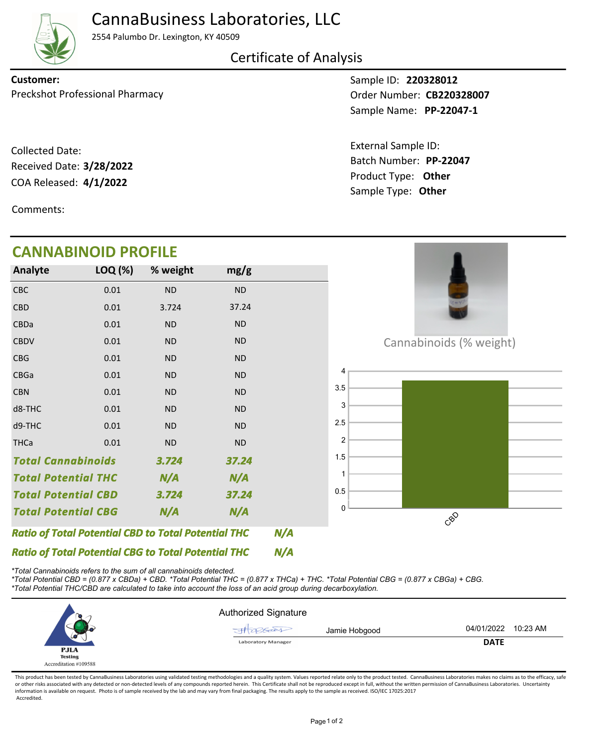

## CannaBusiness Laboratories, LLC

2554 Palumbo Dr. Lexington, KY 40509

Certificate of Analysis

Preckshot Professional Pharmacy **CB220328007 Order Number: CB220328007 Customer:**

COA Released: 4/1/2022 Collected Date: Received Date: **3/28/2022**

Comments:

## **CANNABINOID PROFILE**

Sample ID: **220328012 PP-22047-1** Sample Name:

Product Type: **Other 4/1/2022** Batch Number: **PP-22047** External Sample ID: Sample Type: **Other**

| <b>CANNABINOID PROFILE</b>                                 |         |           |           |     |                         |  |
|------------------------------------------------------------|---------|-----------|-----------|-----|-------------------------|--|
| Analyte                                                    | LOQ (%) | % weight  | mg/g      |     |                         |  |
| <b>CBC</b>                                                 | 0.01    | <b>ND</b> | <b>ND</b> |     |                         |  |
| <b>CBD</b>                                                 | 0.01    | 3.724     | 37.24     |     |                         |  |
| CBDa                                                       | 0.01    | <b>ND</b> | <b>ND</b> |     |                         |  |
| <b>CBDV</b>                                                | 0.01    | <b>ND</b> | ND        |     | Cannabinoids (% weight) |  |
| <b>CBG</b>                                                 | 0.01    | <b>ND</b> | <b>ND</b> |     |                         |  |
| CBGa                                                       | 0.01    | <b>ND</b> | <b>ND</b> |     |                         |  |
| <b>CBN</b>                                                 | 0.01    | <b>ND</b> | <b>ND</b> |     | 3.5                     |  |
| d8-THC                                                     | 0.01    | <b>ND</b> | <b>ND</b> |     | 3                       |  |
| d9-THC                                                     | 0.01    | ND        | ND        |     | 2.5                     |  |
| <b>THCa</b>                                                | 0.01    | ND        | ND        |     | 2                       |  |
| <b>Total Cannabinoids</b><br>3.724<br>37.24                |         |           | 1.5       |     |                         |  |
| <b>Total Potential THC</b>                                 |         | N/A       | N/A       |     |                         |  |
| <b>Total Potential CBD</b>                                 |         | 3.724     | 37.24     |     | $0.5\,$                 |  |
| <b>Total Potential CBG</b>                                 |         | N/A       | N/A       |     | 0<br>CBO                |  |
| <b>Ratio of Total Potential CBD to Total Potential THC</b> |         |           |           | N/A |                         |  |
| <b>Ratio of Total Potential CBG to Total Potential THC</b> |         |           |           | N/A |                         |  |

*\*Total Cannabinoids refers to the sum of all cannabinoids detected.*

*\*Total Potential CBD = (0.877 x CBDa) + CBD. \*Total Potential THC = (0.877 x THCa) + THC. \*Total Potential CBG = (0.877 x CBGa) + CBG. \*Total Potential THC/CBD are calculated to take into account the loss of an acid group during decarboxylation.*



This product has been tested by CannaBusiness Laboratories using validated testing methodologies and a quality system. Values reported relate only to the product tested. CannaBusiness Laboratories makes no claims as to the or other risks associated with any detected or non-detected levels of any compounds reported herein. This Certificate shall not be reproduced except in full, without the written permission of CannaBusiness Laboratories. Un information is available on request. Photo is of sample received by the lab and may vary from final packaging. The results apply to the sample as received. ISO/IEC 17025:2017 Accredited.